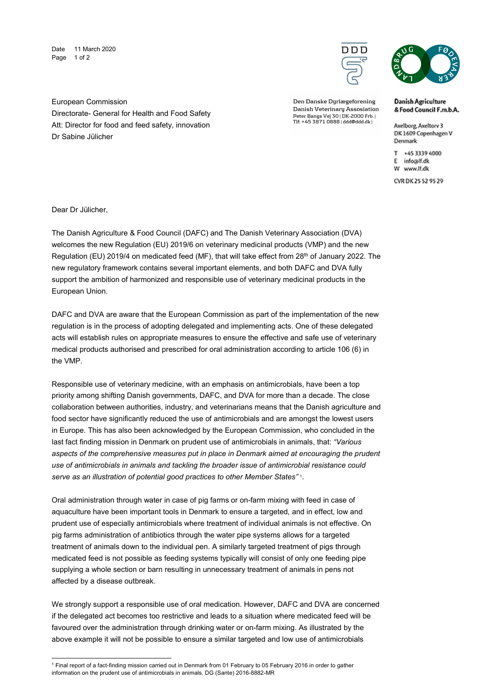Date 11 March 2020 Page 1 of 2



Den Danske Dyrlægeforening Danish Veterinary Assosiation Peter Bangs Vej 30 | DK-2000 Frb. |<br>Tlf: +45 3871 0888 | ddd@ddd.dk |



**Danish Agriculture** & Food Council F.m.b.A.

Axelborg, Axeltory 3 DK 1609 Copenhagen V Denmark

T +45 3339 4000 E info@lf.dk W www.lf.dk

CVR DK 25 52 95 29

European Commission Directorate- General for Health and Food Safety Att: Director for food and feed safety, innovation Dr Sabine Jülicher

Dear Dr Jülicher,

1

The Danish Agriculture & Food Council (DAFC) and The Danish Veterinary Association (DVA) welcomes the new Regulation (EU) 2019/6 on veterinary medicinal products (VMP) and the new Regulation (EU) 2019/4 on medicated feed (MF), that will take effect from 28<sup>th</sup> of January 2022. The new regulatory framework contains several important elements, and both DAFC and DVA fully support the ambition of harmonized and responsible use of veterinary medicinal products in the European Union.

DAFC and DVA are aware that the European Commission as part of the implementation of the new regulation is in the process of adopting delegated and implementing acts. One of these delegated acts will establish rules on appropriate measures to ensure the effective and safe use of veterinary medical products authorised and prescribed for oral administration according to article 106 (6) in the VMP.

Responsible use of veterinary medicine, with an emphasis on antimicrobials, have been a top priority among shifting Danish governments, DAFC, and DVA for more than a decade. The close collaboration between authorities, industry, and veterinarians means that the Danish agriculture and food sector have significantly reduced the use of antimicrobials and are amongst the lowest users in Europe. This has also been acknowledged by the European Commission, who concluded in the last fact finding mission in Denmark on prudent use of antimicrobials in animals, that: "Various aspects of the comprehensive measures put in place in Denmark aimed at encouraging the prudent use of antimicrobials in animals and tackling the broader issue of antimicrobial resistance could serve as an illustration of potential good practices to other Member States" <sup>1</sup> .

Oral administration through water in case of pig farms or on-farm mixing with feed in case of aquaculture have been important tools in Denmark to ensure a targeted, and in effect, low and prudent use of especially antimicrobials where treatment of individual animals is not effective. On pig farms administration of antibiotics through the water pipe systems allows for a targeted treatment of animals down to the individual pen. A similarly targeted treatment of pigs through medicated feed is not possible as feeding systems typically will consist of only one feeding pipe supplying a whole section or barn resulting in unnecessary treatment of animals in pens not affected by a disease outbreak.

We strongly support a responsible use of oral medication. However, DAFC and DVA are concerned if the delegated act becomes too restrictive and leads to a situation where medicated feed will be favoured over the administration through drinking water or on-farm mixing. As illustrated by the above example it will not be possible to ensure a similar targeted and low use of antimicrobials

<sup>1</sup> Final report of a fact-finding mission carried out in Denmark from 01 February to 05 February 2016 in order to gather information on the prudent use of antimicrobials in animals. DG (Sante) 2016-8882-MR